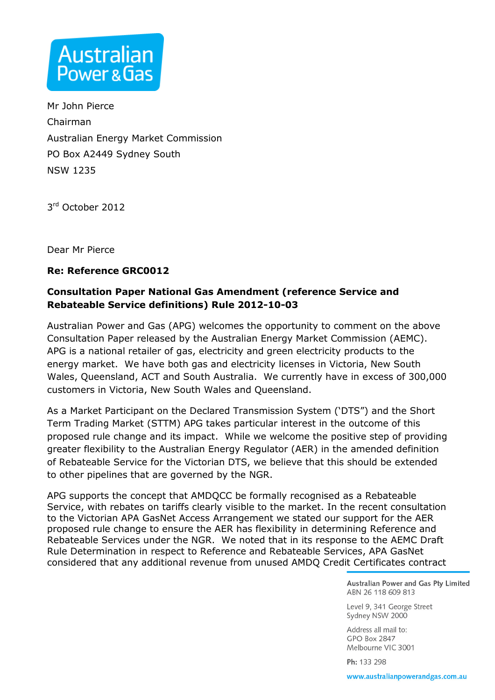

Mr John Pierce Chairman Australian Energy Market Commission PO Box A2449 Sydney South NSW 1235

3 rd October 2012

Dear Mr Pierce

## **Re: Reference GRC0012**

## **Consultation Paper National Gas Amendment (reference Service and Rebateable Service definitions) Rule 2012-10-03**

Australian Power and Gas (APG) welcomes the opportunity to comment on the above Consultation Paper released by the Australian Energy Market Commission (AEMC). APG is a national retailer of gas, electricity and green electricity products to the energy market. We have both gas and electricity licenses in Victoria, New South Wales, Queensland, ACT and South Australia. We currently have in excess of 300,000 customers in Victoria, New South Wales and Queensland.

As a Market Participant on the Declared Transmission System ('DTS") and the Short Term Trading Market (STTM) APG takes particular interest in the outcome of this proposed rule change and its impact. While we welcome the positive step of providing greater flexibility to the Australian Energy Regulator (AER) in the amended definition of Rebateable Service for the Victorian DTS, we believe that this should be extended to other pipelines that are governed by the NGR.

APG supports the concept that AMDQCC be formally recognised as a Rebateable Service, with rebates on tariffs clearly visible to the market. In the recent consultation to the Victorian APA GasNet Access Arrangement we stated our support for the AER proposed rule change to ensure the AER has flexibility in determining Reference and Rebateable Services under the NGR. We noted that in its response to the AEMC Draft Rule Determination in respect to Reference and Rebateable Services, APA GasNet considered that any additional revenue from unused AMDQ Credit Certificates contract

> Australian Power and Gas Pty Limited ABN 26 118 609 813

Level 9, 341 George Street Sydney NSW 2000

Address all mail to: **GPO Box 2847** Melbourne VIC 3001

Ph: 133 298

www.australianpowerandgas.com.au